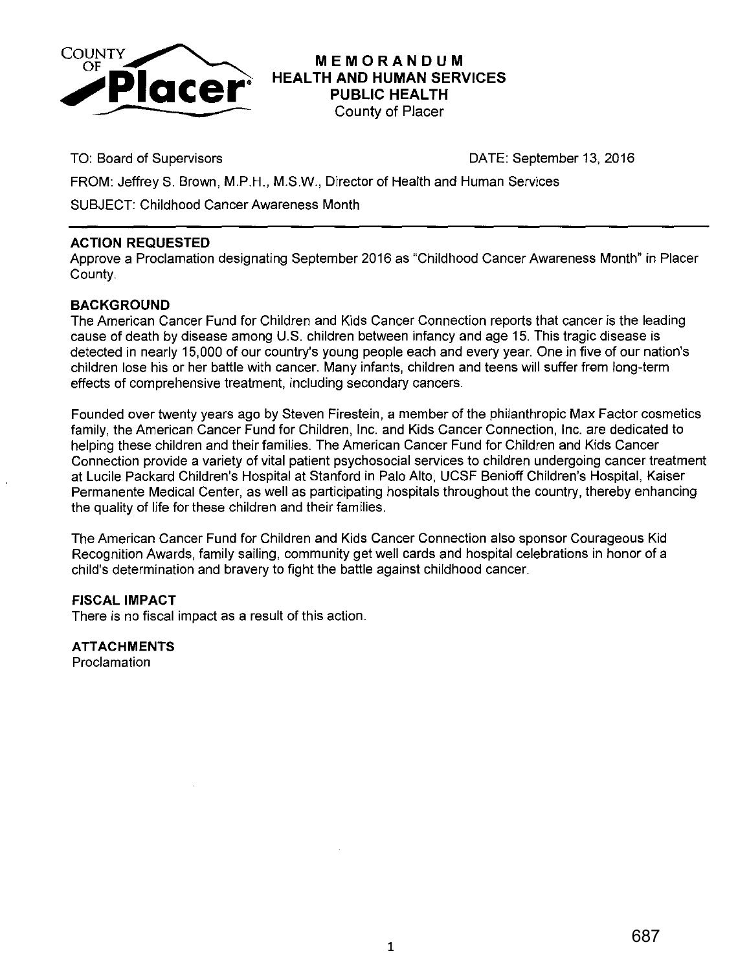

**MEMORANDUM HEALTH AND HUMAN SERVICES PUBLIC HEALTH**  County of Placer

TO: Board of Supervisors DATE: September 13, 2016

FROM: Jeffrey S. Brown, M.P.H., M.S.W., Director of Health and Human Services

SUBJECT: Childhood Cancer Awareness Month

## **ACTION REQUESTED**

Approve a Proclamation designating September 2016 as "Childhood Cancer Awareness Month" in Placer County.

## **BACKGROUND**

The American Cancer Fund for Children and Kids Cancer Connection reports that cancer is the leading cause of death by disease among U.S. children between infancy and age 15. This tragic disease is detected in nearly 15,000 of our country's young people each and every year. One in five of our nation's children lose his or her battle with cancer. Many infants, children and teens will suffer frem long-term effects of comprehensive treatment, including secondary cancers.

Founded over twenty years ago by Steven Firestein, a member of the philanthropic Max Factor cosmetics family, the American Cancer Fund for Children, Inc. and Kids Cancer Connection, Inc. are dedicated to helping these children and their families. The American Cancer Fund for Children and Kids Cancer Connection provide a variety of vital patient psychosocial services to children undergoing cancer treatment at Lucile Packard Children's Hospital at Stanford in Palo Alto, UCSF Benioff Children's Hospital, Kaiser Permanente Medical Center, as well as participating hospitals throughout the country, thereby enhancing the quality of life for these children and their families.

The American Cancer Fund for Children and Kids Cancer Connection also sponsor Courageous Kid Recognition Awards, family sailing, community get well cards and hospital celebrations in honor of a child's determination and bravery to fight the battle against childhood cancer.

## **FISCAL IMPACT**

There is no fiscal impact as a result of this action.

**ATTACHMENTS** 

Proclamation